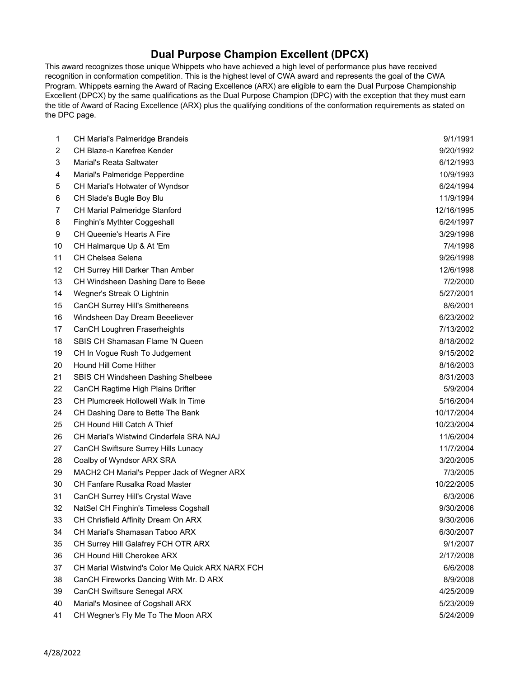## **Dual Purpose Champion Excellent (DPCX)**

This award recognizes those unique Whippets who have achieved a high level of performance plus have received recognition in conformation competition. This is the highest level of CWA award and represents the goal of the CWA Program. Whippets earning the Award of Racing Excellence (ARX) are eligible to earn the Dual Purpose Championship Excellent (DPCX) by the same qualifications as the Dual Purpose Champion (DPC) with the exception that they must earn the title of Award of Racing Excellence (ARX) plus the qualifying conditions of the conformation requirements as stated on the DPC page.

| 1  | CH Marial's Palmeridge Brandeis                  | 9/1/1991   |
|----|--------------------------------------------------|------------|
| 2  | CH Blaze-n Karefree Kender                       | 9/20/1992  |
| 3  | <b>Marial's Reata Saltwater</b>                  | 6/12/1993  |
| 4  | Marial's Palmeridge Pepperdine                   | 10/9/1993  |
| 5  | CH Marial's Hotwater of Wyndsor                  | 6/24/1994  |
| 6  | CH Slade's Bugle Boy Blu                         | 11/9/1994  |
| 7  | CH Marial Palmeridge Stanford                    | 12/16/1995 |
| 8  | Finghin's Mythter Coggeshall                     | 6/24/1997  |
| 9  | CH Queenie's Hearts A Fire                       | 3/29/1998  |
| 10 | CH Halmarque Up & At 'Em                         | 7/4/1998   |
| 11 | CH Chelsea Selena                                | 9/26/1998  |
| 12 | CH Surrey Hill Darker Than Amber                 | 12/6/1998  |
| 13 | CH Windsheen Dashing Dare to Beee                | 7/2/2000   |
| 14 | Wegner's Streak O Lightnin                       | 5/27/2001  |
| 15 | <b>CanCH Surrey Hill's Smithereens</b>           | 8/6/2001   |
| 16 | Windsheen Day Dream Beeeliever                   | 6/23/2002  |
| 17 | CanCH Loughren Fraserheights                     | 7/13/2002  |
| 18 | SBIS CH Shamasan Flame 'N Queen                  | 8/18/2002  |
| 19 | CH In Vogue Rush To Judgement                    | 9/15/2002  |
| 20 | Hound Hill Come Hither                           | 8/16/2003  |
| 21 | SBIS CH Windsheen Dashing Shelbeee               | 8/31/2003  |
| 22 | CanCH Ragtime High Plains Drifter                | 5/9/2004   |
| 23 | <b>CH Plumcreek Hollowell Walk In Time</b>       | 5/16/2004  |
| 24 | CH Dashing Dare to Bette The Bank                | 10/17/2004 |
| 25 | CH Hound Hill Catch A Thief                      | 10/23/2004 |
| 26 | CH Marial's Wistwind Cinderfela SRA NAJ          | 11/6/2004  |
| 27 | CanCH Swiftsure Surrey Hills Lunacy              | 11/7/2004  |
| 28 | Coalby of Wyndsor ARX SRA                        | 3/20/2005  |
| 29 | MACH2 CH Marial's Pepper Jack of Wegner ARX      | 7/3/2005   |
| 30 | CH Fanfare Rusalka Road Master                   | 10/22/2005 |
| 31 | CanCH Surrey Hill's Crystal Wave                 | 6/3/2006   |
| 32 | NatSel CH Finghin's Timeless Cogshall            | 9/30/2006  |
| 33 | CH Chrisfield Affinity Dream On ARX              | 9/30/2006  |
| 34 | CH Marial's Shamasan Taboo ARX                   | 6/30/2007  |
| 35 | CH Surrey Hill Galafrey FCH OTR ARX              | 9/1/2007   |
| 36 | CH Hound Hill Cherokee ARX                       | 2/17/2008  |
| 37 | CH Marial Wistwind's Color Me Quick ARX NARX FCH | 6/6/2008   |
| 38 | CanCH Fireworks Dancing With Mr. D ARX           | 8/9/2008   |
| 39 | CanCH Swiftsure Senegal ARX                      | 4/25/2009  |
| 40 | Marial's Mosinee of Cogshall ARX                 | 5/23/2009  |
| 41 | CH Wegner's Fly Me To The Moon ARX               | 5/24/2009  |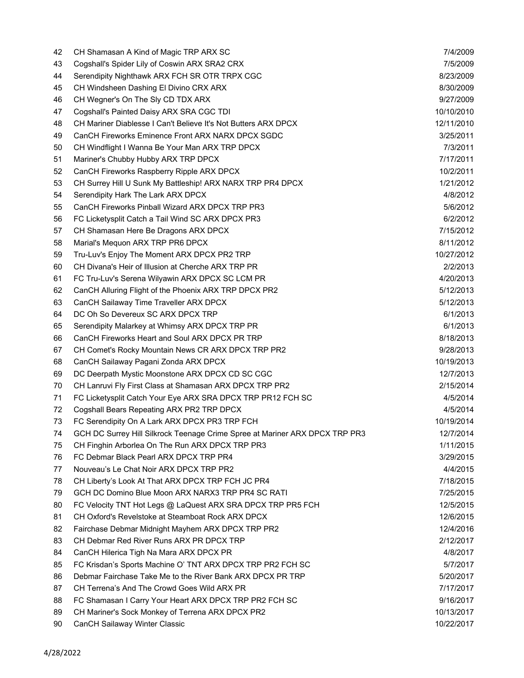| 42 | CH Shamasan A Kind of Magic TRP ARX SC                                      | 7/4/2009                |
|----|-----------------------------------------------------------------------------|-------------------------|
| 43 | Cogshall's Spider Lily of Coswin ARX SRA2 CRX                               | 7/5/2009                |
| 44 | Serendipity Nighthawk ARX FCH SR OTR TRPX CGC                               | 8/23/2009               |
| 45 | CH Windsheen Dashing El Divino CRX ARX                                      | 8/30/2009               |
| 46 | CH Wegner's On The Sly CD TDX ARX                                           | 9/27/2009               |
| 47 | Cogshall's Painted Daisy ARX SRA CGC TDI                                    | 10/10/2010              |
| 48 | CH Mariner Diablesse I Can't Believe It's Not Butters ARX DPCX              | 12/11/2010              |
| 49 | CanCH Fireworks Eminence Front ARX NARX DPCX SGDC                           | 3/25/2011               |
| 50 | CH Windflight I Wanna Be Your Man ARX TRP DPCX                              | 7/3/2011                |
| 51 | Mariner's Chubby Hubby ARX TRP DPCX                                         | 7/17/2011               |
| 52 | CanCH Fireworks Raspberry Ripple ARX DPCX                                   | 10/2/2011               |
| 53 | CH Surrey Hill U Sunk My Battleship! ARX NARX TRP PR4 DPCX                  | 1/21/2012               |
| 54 | Serendipity Hark The Lark ARX DPCX                                          | 4/8/2012                |
| 55 | CanCH Fireworks Pinball Wizard ARX DPCX TRP PR3                             | 5/6/2012                |
| 56 | FC Licketysplit Catch a Tail Wind SC ARX DPCX PR3                           | 6/2/2012                |
| 57 | CH Shamasan Here Be Dragons ARX DPCX                                        | 7/15/2012               |
| 58 | Marial's Mequon ARX TRP PR6 DPCX                                            | 8/11/2012               |
| 59 | Tru-Luv's Enjoy The Moment ARX DPCX PR2 TRP                                 | 10/27/2012              |
| 60 | CH Divana's Heir of Illusion at Cherche ARX TRP PR                          | 2/2/2013                |
| 61 | FC Tru-Luv's Serena Wilyawin ARX DPCX SC LCM PR                             | 4/20/2013               |
| 62 | CanCH Alluring Flight of the Phoenix ARX TRP DPCX PR2                       | 5/12/2013               |
| 63 | CanCH Sailaway Time Traveller ARX DPCX                                      | 5/12/2013               |
| 64 | DC Oh So Devereux SC ARX DPCX TRP                                           | 6/1/2013                |
| 65 | Serendipity Malarkey at Whimsy ARX DPCX TRP PR                              | 6/1/2013                |
|    | CanCH Fireworks Heart and Soul ARX DPCX PR TRP                              | 8/18/2013               |
| 66 |                                                                             |                         |
| 67 | CH Comet's Rocky Mountain News CR ARX DPCX TRP PR2                          | 9/28/2013<br>10/19/2013 |
| 68 | CanCH Sailaway Pagani Zonda ARX DPCX                                        |                         |
| 69 | DC Deerpath Mystic Moonstone ARX DPCX CD SC CGC                             | 12/7/2013<br>2/15/2014  |
| 70 | CH Lanruvi Fly First Class at Shamasan ARX DPCX TRP PR2                     |                         |
| 71 | FC Licketysplit Catch Your Eye ARX SRA DPCX TRP PR12 FCH SC                 | 4/5/2014                |
| 72 | Cogshall Bears Repeating ARX PR2 TRP DPCX                                   | 4/5/2014                |
| 73 | FC Serendipity On A Lark ARX DPCX PR3 TRP FCH                               | 10/19/2014              |
| 74 | GCH DC Surrey Hill Silkrock Teenage Crime Spree at Mariner ARX DPCX TRP PR3 | 12/7/2014               |
| 75 | CH Finghin Arborlea On The Run ARX DPCX TRP PR3                             | 1/11/2015               |
| 76 | FC Debmar Black Pearl ARX DPCX TRP PR4                                      | 3/29/2015               |
| 77 | Nouveau's Le Chat Noir ARX DPCX TRP PR2                                     | 4/4/2015                |
| 78 | CH Liberty's Look At That ARX DPCX TRP FCH JC PR4                           | 7/18/2015               |
| 79 | GCH DC Domino Blue Moon ARX NARX3 TRP PR4 SC RATI                           | 7/25/2015               |
| 80 | FC Velocity TNT Hot Legs @ LaQuest ARX SRA DPCX TRP PR5 FCH                 | 12/5/2015               |
| 81 | CH Oxford's Revelstoke at Steamboat Rock ARX DPCX                           | 12/6/2015               |
| 82 | Fairchase Debmar Midnight Mayhem ARX DPCX TRP PR2                           | 12/4/2016               |
| 83 | CH Debmar Red River Runs ARX PR DPCX TRP                                    | 2/12/2017               |
| 84 | CanCH Hilerica Tigh Na Mara ARX DPCX PR                                     | 4/8/2017                |
| 85 | FC Krisdan's Sports Machine O' TNT ARX DPCX TRP PR2 FCH SC                  | 5/7/2017                |
| 86 | Debmar Fairchase Take Me to the River Bank ARX DPCX PR TRP                  | 5/20/2017               |
| 87 | CH Terrena's And The Crowd Goes Wild ARX PR                                 | 7/17/2017               |
| 88 | FC Shamasan I Carry Your Heart ARX DPCX TRP PR2 FCH SC                      | 9/16/2017               |
| 89 | CH Mariner's Sock Monkey of Terrena ARX DPCX PR2                            | 10/13/2017              |
| 90 | CanCH Sailaway Winter Classic                                               | 10/22/2017              |